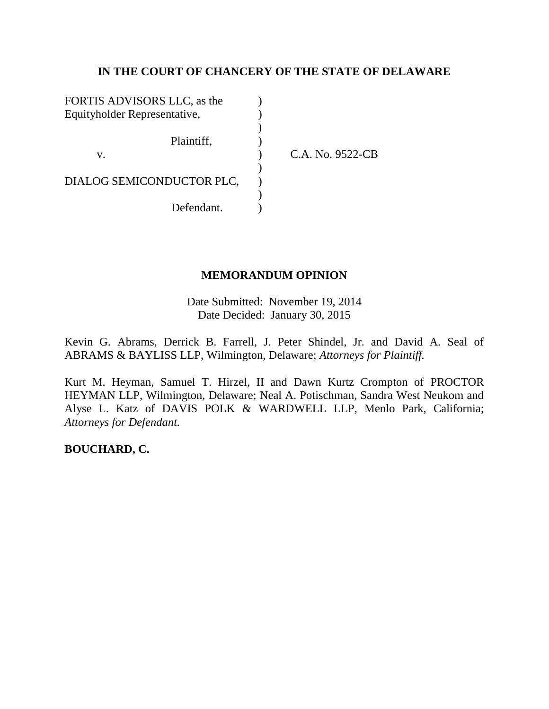## **IN THE COURT OF CHANCERY OF THE STATE OF DELAWARE**

| FORTIS ADVISORS LLC, as the  |  |
|------------------------------|--|
| Equityholder Representative, |  |
|                              |  |
| Plaintiff,                   |  |
| $V_{\cdot}$                  |  |
|                              |  |
| DIALOG SEMICONDUCTOR PLC,    |  |
|                              |  |
| Defendant.                   |  |

C.A. No. 9522-CB

### **MEMORANDUM OPINION**

Date Submitted: November 19, 2014 Date Decided: January 30, 2015

Kevin G. Abrams, Derrick B. Farrell, J. Peter Shindel, Jr. and David A. Seal of ABRAMS & BAYLISS LLP, Wilmington, Delaware; *Attorneys for Plaintiff.*

Kurt M. Heyman, Samuel T. Hirzel, II and Dawn Kurtz Crompton of PROCTOR HEYMAN LLP, Wilmington, Delaware; Neal A. Potischman, Sandra West Neukom and Alyse L. Katz of DAVIS POLK & WARDWELL LLP, Menlo Park, California; *Attorneys for Defendant.*

**BOUCHARD, C.**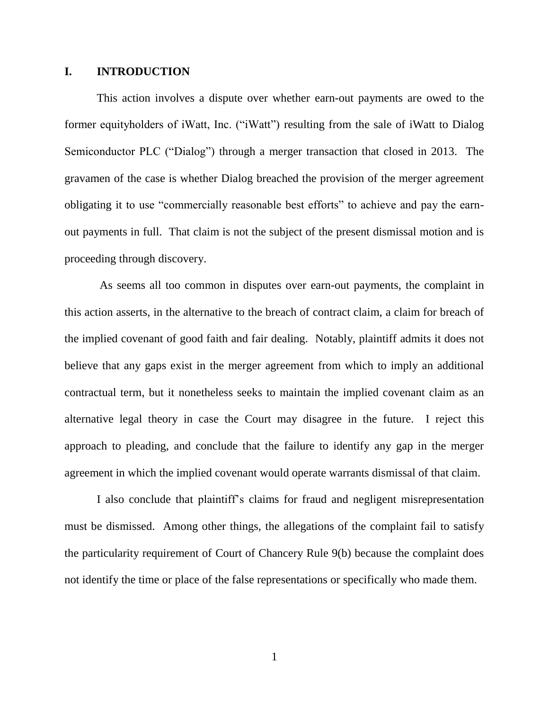#### **I. INTRODUCTION**

This action involves a dispute over whether earn-out payments are owed to the former equityholders of iWatt, Inc. ("iWatt") resulting from the sale of iWatt to Dialog Semiconductor PLC ("Dialog") through a merger transaction that closed in 2013. The gravamen of the case is whether Dialog breached the provision of the merger agreement obligating it to use "commercially reasonable best efforts" to achieve and pay the earnout payments in full. That claim is not the subject of the present dismissal motion and is proceeding through discovery.

As seems all too common in disputes over earn-out payments, the complaint in this action asserts, in the alternative to the breach of contract claim, a claim for breach of the implied covenant of good faith and fair dealing. Notably, plaintiff admits it does not believe that any gaps exist in the merger agreement from which to imply an additional contractual term, but it nonetheless seeks to maintain the implied covenant claim as an alternative legal theory in case the Court may disagree in the future. I reject this approach to pleading, and conclude that the failure to identify any gap in the merger agreement in which the implied covenant would operate warrants dismissal of that claim.

I also conclude that plaintiff"s claims for fraud and negligent misrepresentation must be dismissed. Among other things, the allegations of the complaint fail to satisfy the particularity requirement of Court of Chancery Rule 9(b) because the complaint does not identify the time or place of the false representations or specifically who made them.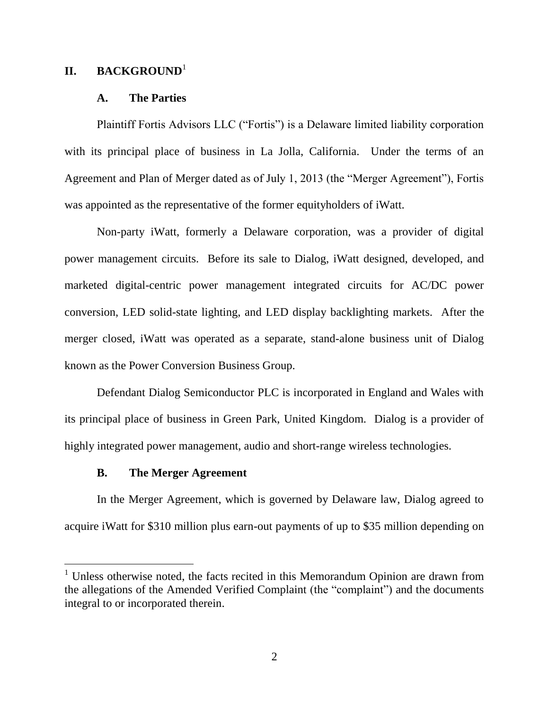### **II. BACKGROUND**<sup>1</sup>

#### **A. The Parties**

Plaintiff Fortis Advisors LLC ("Fortis") is a Delaware limited liability corporation with its principal place of business in La Jolla, California. Under the terms of an Agreement and Plan of Merger dated as of July 1, 2013 (the "Merger Agreement"), Fortis was appointed as the representative of the former equityholders of iWatt.

Non-party iWatt, formerly a Delaware corporation, was a provider of digital power management circuits. Before its sale to Dialog, iWatt designed, developed, and marketed digital-centric power management integrated circuits for AC/DC power conversion, LED solid-state lighting, and LED display backlighting markets. After the merger closed, iWatt was operated as a separate, stand-alone business unit of Dialog known as the Power Conversion Business Group.

Defendant Dialog Semiconductor PLC is incorporated in England and Wales with its principal place of business in Green Park, United Kingdom. Dialog is a provider of highly integrated power management, audio and short-range wireless technologies.

#### **B. The Merger Agreement**

In the Merger Agreement, which is governed by Delaware law, Dialog agreed to acquire iWatt for \$310 million plus earn-out payments of up to \$35 million depending on

<sup>&</sup>lt;sup>1</sup> Unless otherwise noted, the facts recited in this Memorandum Opinion are drawn from the allegations of the Amended Verified Complaint (the "complaint") and the documents integral to or incorporated therein.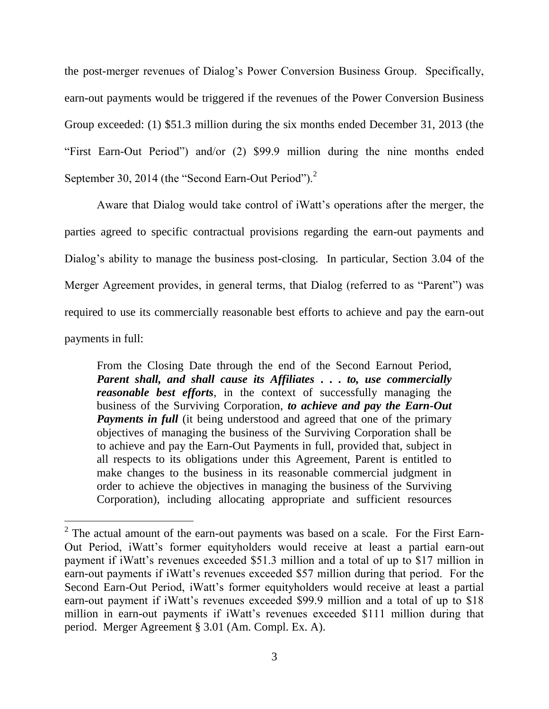the post-merger revenues of Dialog's Power Conversion Business Group. Specifically, earn-out payments would be triggered if the revenues of the Power Conversion Business Group exceeded: (1) \$51.3 million during the six months ended December 31, 2013 (the "First Earn-Out Period") and/or (2) \$99.9 million during the nine months ended September 30, 2014 (the "Second Earn-Out Period").<sup>2</sup>

Aware that Dialog would take control of iWatt's operations after the merger, the parties agreed to specific contractual provisions regarding the earn-out payments and Dialog's ability to manage the business post-closing. In particular, Section 3.04 of the Merger Agreement provides, in general terms, that Dialog (referred to as "Parent") was required to use its commercially reasonable best efforts to achieve and pay the earn-out payments in full:

From the Closing Date through the end of the Second Earnout Period, *Parent shall, and shall cause its Affiliates* **. . .** *to, use commercially reasonable best efforts*, in the context of successfully managing the business of the Surviving Corporation, *to achieve and pay the Earn-Out Payments in full* (it being understood and agreed that one of the primary objectives of managing the business of the Surviving Corporation shall be to achieve and pay the Earn-Out Payments in full, provided that, subject in all respects to its obligations under this Agreement, Parent is entitled to make changes to the business in its reasonable commercial judgment in order to achieve the objectives in managing the business of the Surviving Corporation), including allocating appropriate and sufficient resources

 $2^2$  The actual amount of the earn-out payments was based on a scale. For the First Earn-Out Period, iWatt"s former equityholders would receive at least a partial earn-out payment if iWatt"s revenues exceeded \$51.3 million and a total of up to \$17 million in earn-out payments if iWatt's revenues exceeded \$57 million during that period. For the Second Earn-Out Period, iWatt's former equityholders would receive at least a partial earn-out payment if iWatt's revenues exceeded \$99.9 million and a total of up to \$18 million in earn-out payments if iWatt"s revenues exceeded \$111 million during that period. Merger Agreement § 3.01 (Am. Compl. Ex. A).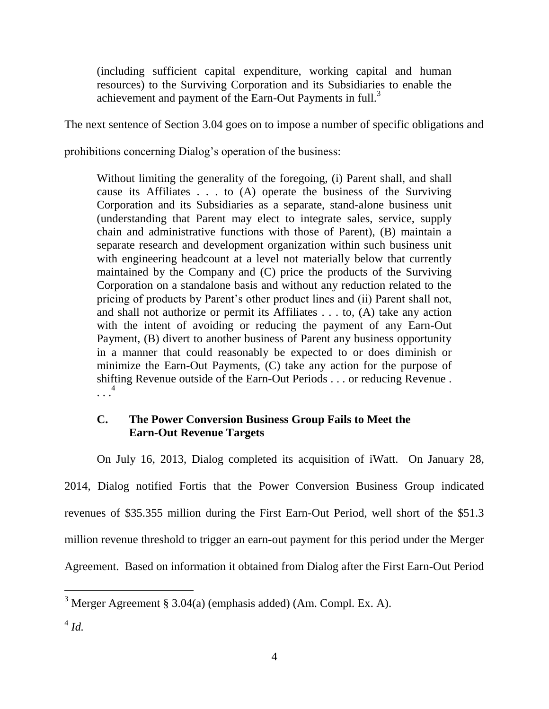(including sufficient capital expenditure, working capital and human resources) to the Surviving Corporation and its Subsidiaries to enable the achievement and payment of the Earn-Out Payments in full.<sup>3</sup>

The next sentence of Section 3.04 goes on to impose a number of specific obligations and

prohibitions concerning Dialog"s operation of the business:

Without limiting the generality of the foregoing, (i) Parent shall, and shall cause its Affiliates . . . to (A) operate the business of the Surviving Corporation and its Subsidiaries as a separate, stand-alone business unit (understanding that Parent may elect to integrate sales, service, supply chain and administrative functions with those of Parent), (B) maintain a separate research and development organization within such business unit with engineering headcount at a level not materially below that currently maintained by the Company and (C) price the products of the Surviving Corporation on a standalone basis and without any reduction related to the pricing of products by Parent"s other product lines and (ii) Parent shall not, and shall not authorize or permit its Affiliates . . . to, (A) take any action with the intent of avoiding or reducing the payment of any Earn-Out Payment, (B) divert to another business of Parent any business opportunity in a manner that could reasonably be expected to or does diminish or minimize the Earn-Out Payments, (C) take any action for the purpose of shifting Revenue outside of the Earn-Out Periods . . . or reducing Revenue . . . . 4

# **C. The Power Conversion Business Group Fails to Meet the Earn-Out Revenue Targets**

On July 16, 2013, Dialog completed its acquisition of iWatt. On January 28, 2014, Dialog notified Fortis that the Power Conversion Business Group indicated revenues of \$35.355 million during the First Earn-Out Period, well short of the \$51.3 million revenue threshold to trigger an earn-out payment for this period under the Merger Agreement. Based on information it obtained from Dialog after the First Earn-Out Period

<sup>&</sup>lt;sup>3</sup> Merger Agreement § 3.04(a) (emphasis added) (Am. Compl. Ex. A).

<sup>4</sup> *Id.*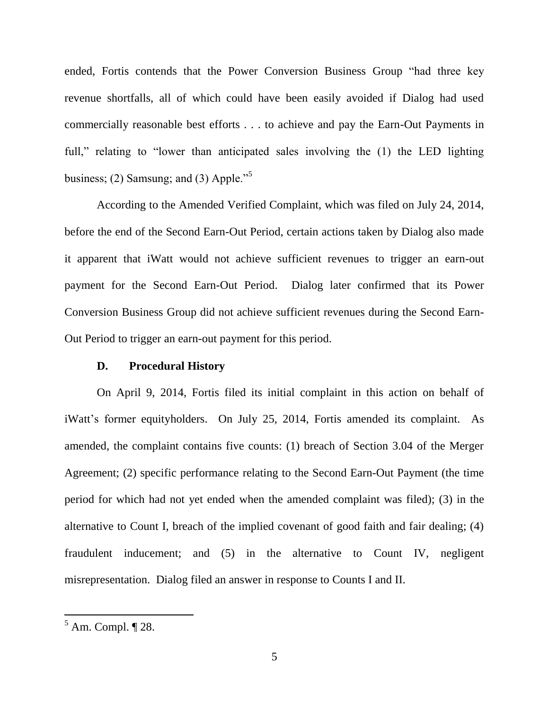ended, Fortis contends that the Power Conversion Business Group "had three key revenue shortfalls, all of which could have been easily avoided if Dialog had used commercially reasonable best efforts . . . to achieve and pay the Earn-Out Payments in full," relating to "lower than anticipated sales involving the (1) the LED lighting business; (2) Samsung; and (3) Apple."<sup>5</sup>

According to the Amended Verified Complaint, which was filed on July 24, 2014, before the end of the Second Earn-Out Period, certain actions taken by Dialog also made it apparent that iWatt would not achieve sufficient revenues to trigger an earn-out payment for the Second Earn-Out Period. Dialog later confirmed that its Power Conversion Business Group did not achieve sufficient revenues during the Second Earn-Out Period to trigger an earn-out payment for this period.

#### **D. Procedural History**

On April 9, 2014, Fortis filed its initial complaint in this action on behalf of iWatt"s former equityholders. On July 25, 2014, Fortis amended its complaint. As amended, the complaint contains five counts: (1) breach of Section 3.04 of the Merger Agreement; (2) specific performance relating to the Second Earn-Out Payment (the time period for which had not yet ended when the amended complaint was filed); (3) in the alternative to Count I, breach of the implied covenant of good faith and fair dealing; (4) fraudulent inducement; and (5) in the alternative to Count IV, negligent misrepresentation. Dialog filed an answer in response to Counts I and II.

 $<sup>5</sup>$  Am. Compl.  $\P$  28.</sup>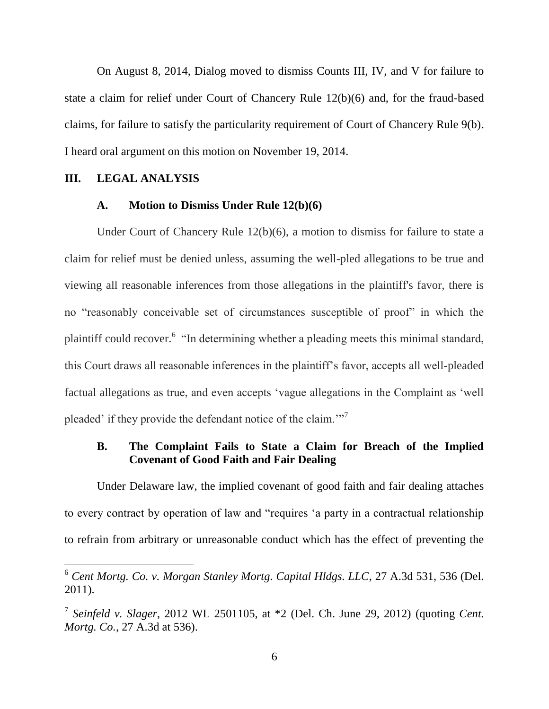On August 8, 2014, Dialog moved to dismiss Counts III, IV, and V for failure to state a claim for relief under Court of Chancery Rule 12(b)(6) and, for the fraud-based claims, for failure to satisfy the particularity requirement of Court of Chancery Rule 9(b). I heard oral argument on this motion on November 19, 2014.

#### **III. LEGAL ANALYSIS**

#### **A. Motion to Dismiss Under Rule 12(b)(6)**

Under Court of Chancery Rule 12(b)(6), a motion to dismiss for failure to state a claim for relief must be denied unless, assuming the well-pled allegations to be true and viewing all reasonable inferences from those allegations in the plaintiff's favor, there is no "reasonably conceivable set of circumstances susceptible of proof" in which the plaintiff could recover.<sup>6</sup> "In determining whether a pleading meets this minimal standard, this Court draws all reasonable inferences in the plaintiff"s favor, accepts all well-pleaded factual allegations as true, and even accepts "vague allegations in the Complaint as "well pleaded' if they provide the defendant notice of the claim."<sup>7</sup>

## **B. The Complaint Fails to State a Claim for Breach of the Implied Covenant of Good Faith and Fair Dealing**

Under Delaware law, the implied covenant of good faith and fair dealing attaches to every contract by operation of law and "requires "a party in a contractual relationship to refrain from arbitrary or unreasonable conduct which has the effect of preventing the

<sup>6</sup> *Cent Mortg. Co. v. Morgan Stanley Mortg. Capital Hldgs. LLC*, 27 A.3d 531, 536 (Del. 2011).

<sup>7</sup> *Seinfeld v. Slager*, 2012 WL 2501105, at \*2 (Del. Ch. June 29, 2012) (quoting *Cent. Mortg. Co.*, 27 A.3d at 536).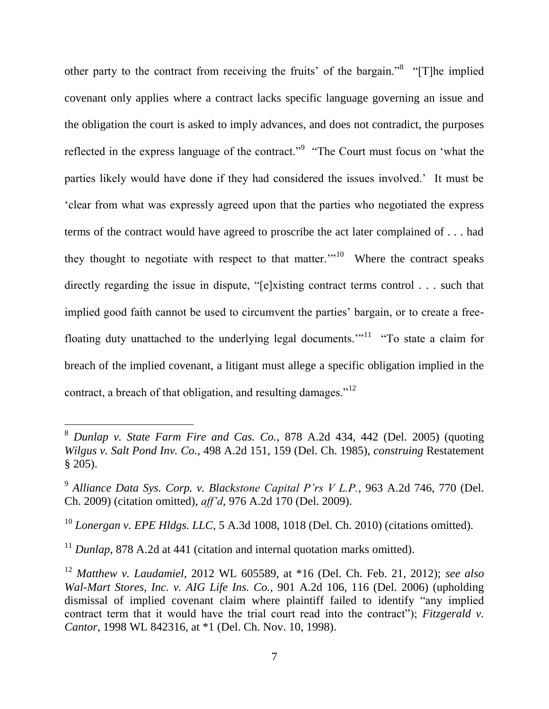other party to the contract from receiving the fruits' of the bargain."<sup>8</sup> "[T]he implied covenant only applies where a contract lacks specific language governing an issue and the obligation the court is asked to imply advances, and does not contradict, the purposes reflected in the express language of the contract."<sup>9</sup> "The Court must focus on 'what the parties likely would have done if they had considered the issues involved." It must be "clear from what was expressly agreed upon that the parties who negotiated the express terms of the contract would have agreed to proscribe the act later complained of . . . had they thought to negotiate with respect to that matter."<sup>10</sup> Where the contract speaks directly regarding the issue in dispute, "[e]xisting contract terms control . . . such that implied good faith cannot be used to circumvent the parties' bargain, or to create a freefloating duty unattached to the underlying legal documents."<sup>11</sup> "To state a claim for breach of the implied covenant, a litigant must allege a specific obligation implied in the contract, a breach of that obligation, and resulting damages." $12$ 

<span id="page-7-0"></span><sup>8</sup> *Dunlap v. State Farm Fire and Cas. Co.*, 878 A.2d 434, 442 (Del. 2005) (quoting *Wilgus v. Salt Pond Inv. Co.*, 498 A.2d 151, 159 (Del. Ch. 1985), *construing* Restatement § 205).

<sup>9</sup> *Alliance Data Sys. Corp. v. Blackstone Capital P'rs V L.P.*, 963 A.2d 746, 770 (Del. Ch. 2009) (citation omitted), *aff'd*, 976 A.2d 170 (Del. 2009).

<sup>10</sup> *Lonergan v. EPE Hldgs. LLC*, 5 A.3d 1008, 1018 (Del. Ch. 2010) (citations omitted).

<sup>&</sup>lt;sup>11</sup> *Dunlap*, 878 A.2d at 441 (citation and internal quotation marks omitted).

<sup>12</sup> *Matthew v. Laudamiel*, 2012 WL 605589, at \*16 (Del. Ch. Feb. 21, 2012); *see also Wal-Mart Stores, Inc. v. AIG Life Ins. Co.,* 901 A.2d 106, 116 (Del. 2006) (upholding dismissal of implied covenant claim where plaintiff failed to identify "any implied contract term that it would have the trial court read into the contract"); *Fitzgerald v. Cantor*, 1998 WL 842316, at \*1 (Del. Ch. Nov. 10, 1998).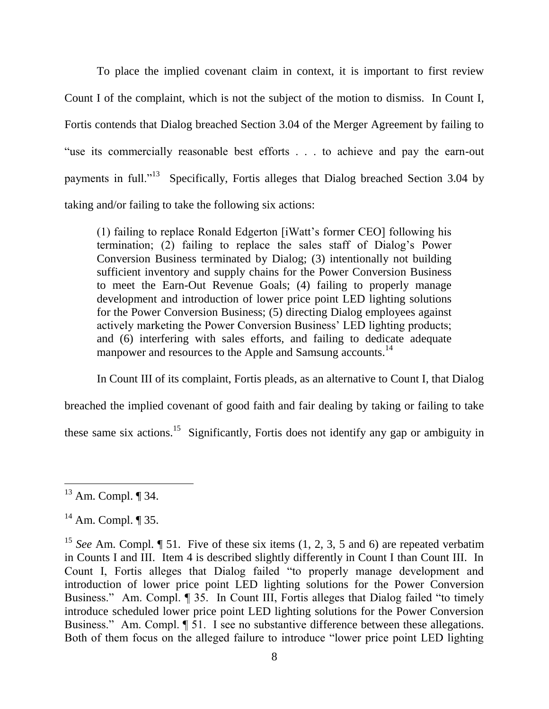To place the implied covenant claim in context, it is important to first review Count I of the complaint, which is not the subject of the motion to dismiss. In Count I, Fortis contends that Dialog breached Section 3.04 of the Merger Agreement by failing to "use its commercially reasonable best efforts . . . to achieve and pay the earn-out payments in full."<sup>13</sup> Specifically, Fortis alleges that Dialog breached Section 3.04 by taking and/or failing to take the following six actions:

(1) failing to replace Ronald Edgerton [iWatt"s former CEO] following his termination; (2) failing to replace the sales staff of Dialog"s Power Conversion Business terminated by Dialog; (3) intentionally not building sufficient inventory and supply chains for the Power Conversion Business to meet the Earn-Out Revenue Goals; (4) failing to properly manage development and introduction of lower price point LED lighting solutions for the Power Conversion Business; (5) directing Dialog employees against actively marketing the Power Conversion Business" LED lighting products; and (6) interfering with sales efforts, and failing to dedicate adequate manpower and resources to the Apple and Samsung accounts.<sup>14</sup>

In Count III of its complaint, Fortis pleads, as an alternative to Count I, that Dialog

breached the implied covenant of good faith and fair dealing by taking or failing to take

these same six actions.<sup>15</sup> Significantly, Fortis does not identify any gap or ambiguity in

 $13$  Am. Compl.  $\P$  34.

 $14$  Am. Compl. ¶ 35.

<sup>&</sup>lt;sup>15</sup> *See* Am. Compl. ¶ 51. Five of these six items (1, 2, 3, 5 and 6) are repeated verbatim in Counts I and III. Item 4 is described slightly differently in Count I than Count III. In Count I, Fortis alleges that Dialog failed "to properly manage development and introduction of lower price point LED lighting solutions for the Power Conversion Business." Am. Compl. ¶ 35. In Count III, Fortis alleges that Dialog failed "to timely introduce scheduled lower price point LED lighting solutions for the Power Conversion Business." Am. Compl.  $\P$  51. I see no substantive difference between these allegations. Both of them focus on the alleged failure to introduce "lower price point LED lighting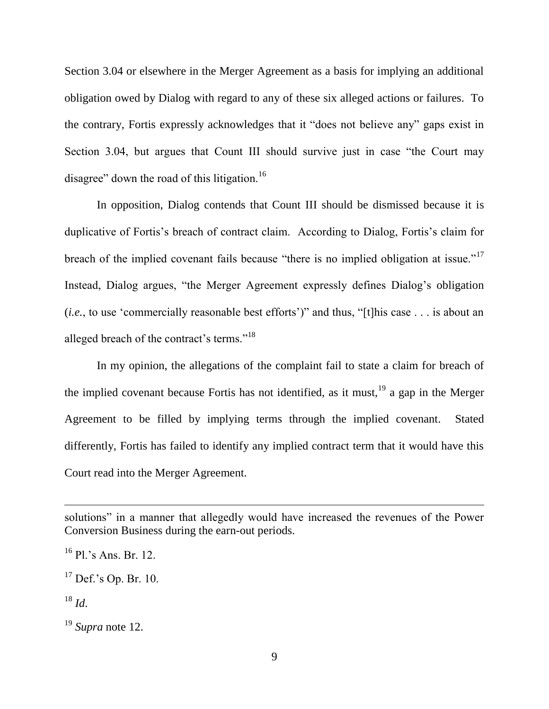Section 3.04 or elsewhere in the Merger Agreement as a basis for implying an additional obligation owed by Dialog with regard to any of these six alleged actions or failures. To the contrary, Fortis expressly acknowledges that it "does not believe any" gaps exist in Section 3.04, but argues that Count III should survive just in case "the Court may disagree" down the road of this litigation.<sup>16</sup>

In opposition, Dialog contends that Count III should be dismissed because it is duplicative of Fortis's breach of contract claim. According to Dialog, Fortis's claim for breach of the implied covenant fails because "there is no implied obligation at issue."<sup>17</sup> Instead, Dialog argues, "the Merger Agreement expressly defines Dialog's obligation (*i.e.*, to use 'commercially reasonable best efforts')" and thus, "[t]his case . . . is about an alleged breach of the contract's terms."<sup>18</sup>

In my opinion, the allegations of the complaint fail to state a claim for breach of the implied covenant because Fortis has not identified, as it must,  $19$  a gap in the Merger Agreement to be filled by implying terms through the implied covenant. Stated differently, Fortis has failed to identify any implied contract term that it would have this Court read into the Merger Agreement.

solutions" in a manner that allegedly would have increased the revenues of the Power Conversion Business during the earn-out periods.

 $^{16}$  Pl.'s Ans. Br. 12.

 $17$  Def.'s Op. Br. 10.

 $^{18}$  *Id*.

<sup>19</sup> *Supra* note [12.](#page-7-0)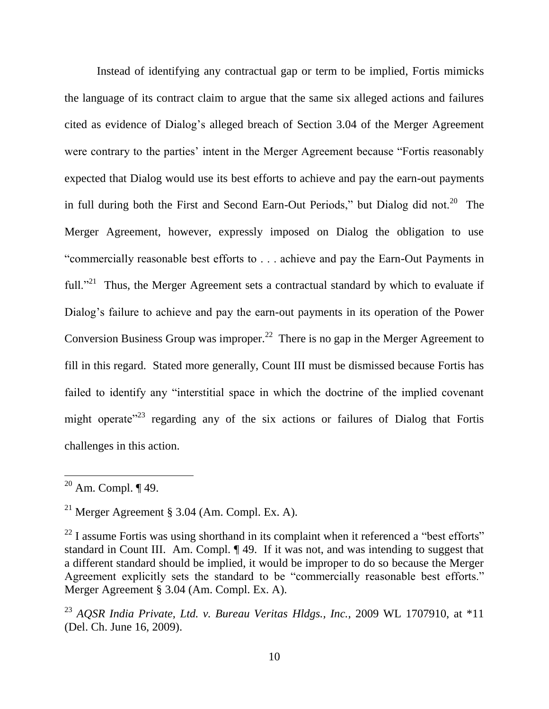Instead of identifying any contractual gap or term to be implied, Fortis mimicks the language of its contract claim to argue that the same six alleged actions and failures cited as evidence of Dialog"s alleged breach of Section 3.04 of the Merger Agreement were contrary to the parties' intent in the Merger Agreement because "Fortis reasonably expected that Dialog would use its best efforts to achieve and pay the earn-out payments in full during both the First and Second Earn-Out Periods," but Dialog did not.<sup>20</sup> The Merger Agreement, however, expressly imposed on Dialog the obligation to use "commercially reasonable best efforts to . . . achieve and pay the Earn-Out Payments in full."<sup>21</sup> Thus, the Merger Agreement sets a contractual standard by which to evaluate if Dialog's failure to achieve and pay the earn-out payments in its operation of the Power Conversion Business Group was improper.<sup>22</sup> There is no gap in the Merger Agreement to fill in this regard. Stated more generally, Count III must be dismissed because Fortis has failed to identify any "interstitial space in which the doctrine of the implied covenant might operate<sup> $23$ </sup> regarding any of the six actions or failures of Dialog that Fortis challenges in this action.

 $20$  Am. Compl.  $\P$  49.

<sup>&</sup>lt;sup>21</sup> Merger Agreement § 3.04 (Am. Compl. Ex. A).

 $^{22}$  I assume Fortis was using shorthand in its complaint when it referenced a "best efforts" standard in Count III. Am. Compl. ¶ 49. If it was not, and was intending to suggest that a different standard should be implied, it would be improper to do so because the Merger Agreement explicitly sets the standard to be "commercially reasonable best efforts." Merger Agreement § 3.04 (Am. Compl. Ex. A).

<sup>23</sup> *AQSR India Private, Ltd. v. Bureau Veritas Hldgs., Inc.*, 2009 WL 1707910, at \*11 (Del. Ch. June 16, 2009).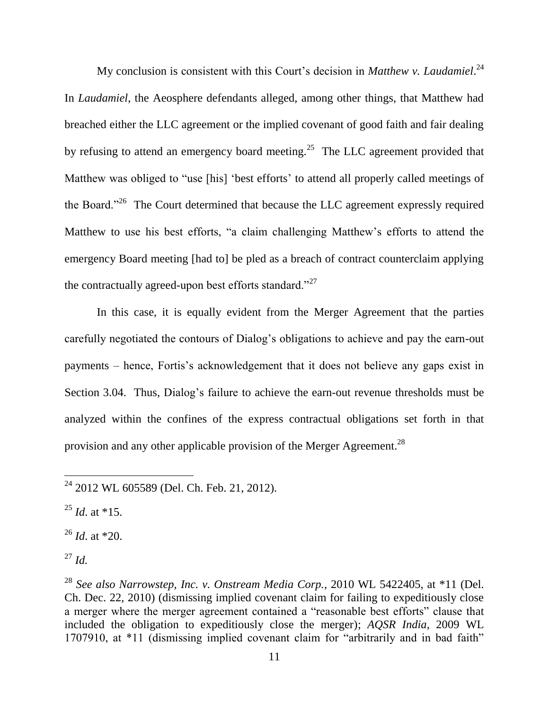My conclusion is consistent with this Court's decision in *Matthew v. Laudamiel*.<sup>24</sup> In *Laudamiel*, the Aeosphere defendants alleged, among other things, that Matthew had breached either the LLC agreement or the implied covenant of good faith and fair dealing by refusing to attend an emergency board meeting.<sup>25</sup> The LLC agreement provided that Matthew was obliged to "use [his] 'best efforts' to attend all properly called meetings of the Board."<sup>26</sup> The Court determined that because the LLC agreement expressly required Matthew to use his best efforts, "a claim challenging Matthew"s efforts to attend the emergency Board meeting [had to] be pled as a breach of contract counterclaim applying the contractually agreed-upon best efforts standard."<sup>27</sup>

In this case, it is equally evident from the Merger Agreement that the parties carefully negotiated the contours of Dialog's obligations to achieve and pay the earn-out payments – hence, Fortis"s acknowledgement that it does not believe any gaps exist in Section 3.04. Thus, Dialog's failure to achieve the earn-out revenue thresholds must be analyzed within the confines of the express contractual obligations set forth in that provision and any other applicable provision of the Merger Agreement.<sup>28</sup>

 $^{25}$  *Id.* at \*15.

<sup>26</sup> *Id*. at \*20.

<sup>27</sup> *Id.*

<sup>&</sup>lt;sup>24</sup> 2012 WL 605589 (Del. Ch. Feb. 21, 2012).

<sup>28</sup> *See also Narrowstep, Inc. v. Onstream Media Corp.*, 2010 WL 5422405, at \*11 (Del. Ch. Dec. 22, 2010) (dismissing implied covenant claim for failing to expeditiously close a merger where the merger agreement contained a "reasonable best efforts" clause that included the obligation to expeditiously close the merger); *AQSR India*, 2009 WL 1707910, at \*11 (dismissing implied covenant claim for "arbitrarily and in bad faith"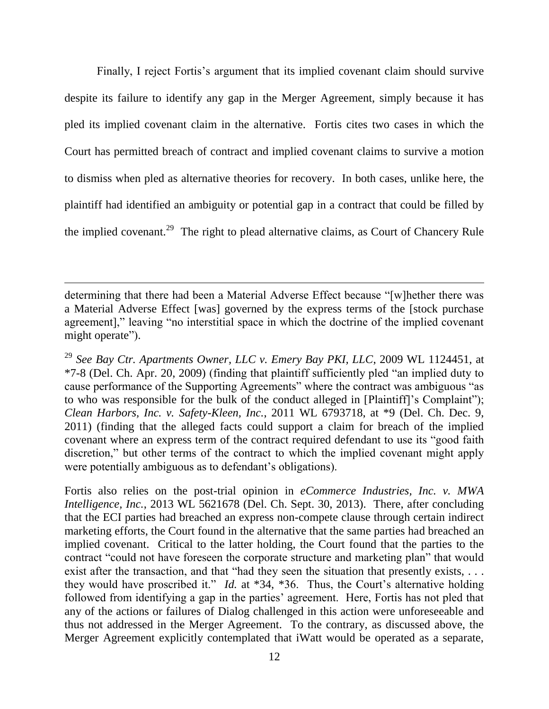Finally, I reject Fortis's argument that its implied covenant claim should survive despite its failure to identify any gap in the Merger Agreement, simply because it has pled its implied covenant claim in the alternative. Fortis cites two cases in which the Court has permitted breach of contract and implied covenant claims to survive a motion to dismiss when pled as alternative theories for recovery. In both cases, unlike here, the plaintiff had identified an ambiguity or potential gap in a contract that could be filled by the implied covenant.<sup>29</sup> The right to plead alternative claims, as Court of Chancery Rule

 $\overline{a}$ 

<sup>29</sup> *See Bay Ctr. Apartments Owner, LLC v. Emery Bay PKI, LLC*, 2009 WL 1124451, at \*7-8 (Del. Ch. Apr. 20, 2009) (finding that plaintiff sufficiently pled "an implied duty to cause performance of the Supporting Agreements" where the contract was ambiguous "as to who was responsible for the bulk of the conduct alleged in [Plaintiff]"s Complaint"); *Clean Harbors, Inc. v. Safety-Kleen, Inc.*, 2011 WL 6793718, at \*9 (Del. Ch. Dec. 9, 2011) (finding that the alleged facts could support a claim for breach of the implied covenant where an express term of the contract required defendant to use its "good faith discretion," but other terms of the contract to which the implied covenant might apply were potentially ambiguous as to defendant's obligations).

Fortis also relies on the post-trial opinion in *eCommerce Industries, Inc. v. MWA Intelligence, Inc.*, 2013 WL 5621678 (Del. Ch. Sept. 30, 2013). There, after concluding that the ECI parties had breached an express non-compete clause through certain indirect marketing efforts, the Court found in the alternative that the same parties had breached an implied covenant. Critical to the latter holding, the Court found that the parties to the contract "could not have foreseen the corporate structure and marketing plan" that would exist after the transaction, and that "had they seen the situation that presently exists, ... they would have proscribed it." *Id.* at  $*34$ ,  $*36$ . Thus, the Court's alternative holding followed from identifying a gap in the parties' agreement. Here, Fortis has not pled that any of the actions or failures of Dialog challenged in this action were unforeseeable and thus not addressed in the Merger Agreement. To the contrary, as discussed above, the Merger Agreement explicitly contemplated that iWatt would be operated as a separate,

determining that there had been a Material Adverse Effect because "[w]hether there was a Material Adverse Effect [was] governed by the express terms of the [stock purchase agreement]," leaving "no interstitial space in which the doctrine of the implied covenant might operate").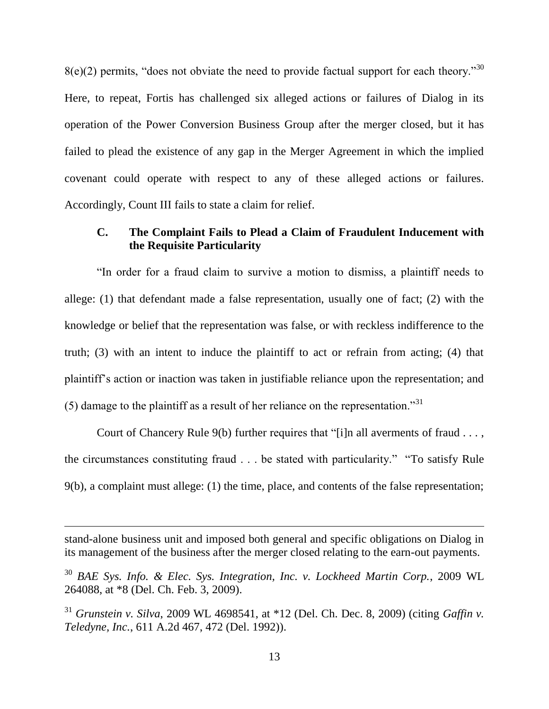$8(e)(2)$  permits, "does not obviate the need to provide factual support for each theory."<sup>30</sup> Here, to repeat, Fortis has challenged six alleged actions or failures of Dialog in its operation of the Power Conversion Business Group after the merger closed, but it has failed to plead the existence of any gap in the Merger Agreement in which the implied covenant could operate with respect to any of these alleged actions or failures. Accordingly, Count III fails to state a claim for relief.

# **C. The Complaint Fails to Plead a Claim of Fraudulent Inducement with the Requisite Particularity**

"In order for a fraud claim to survive a motion to dismiss, a plaintiff needs to allege: (1) that defendant made a false representation, usually one of fact; (2) with the knowledge or belief that the representation was false, or with reckless indifference to the truth; (3) with an intent to induce the plaintiff to act or refrain from acting; (4) that plaintiff"s action or inaction was taken in justifiable reliance upon the representation; and (5) damage to the plaintiff as a result of her reliance on the representation.<sup>31</sup>

Court of Chancery Rule 9(b) further requires that "[i]n all averments of fraud . . . , the circumstances constituting fraud . . . be stated with particularity." "To satisfy Rule 9(b), a complaint must allege: (1) the time, place, and contents of the false representation;

stand-alone business unit and imposed both general and specific obligations on Dialog in its management of the business after the merger closed relating to the earn-out payments.

<sup>30</sup> *BAE Sys. Info. & Elec. Sys. Integration, Inc. v. Lockheed Martin Corp.*, 2009 WL 264088, at \*8 (Del. Ch. Feb. 3, 2009).

<sup>31</sup> *Grunstein v. Silva*, 2009 WL 4698541, at \*12 (Del. Ch. Dec. 8, 2009) (citing *Gaffin v. Teledyne, Inc.*, 611 A.2d 467, 472 (Del. 1992)).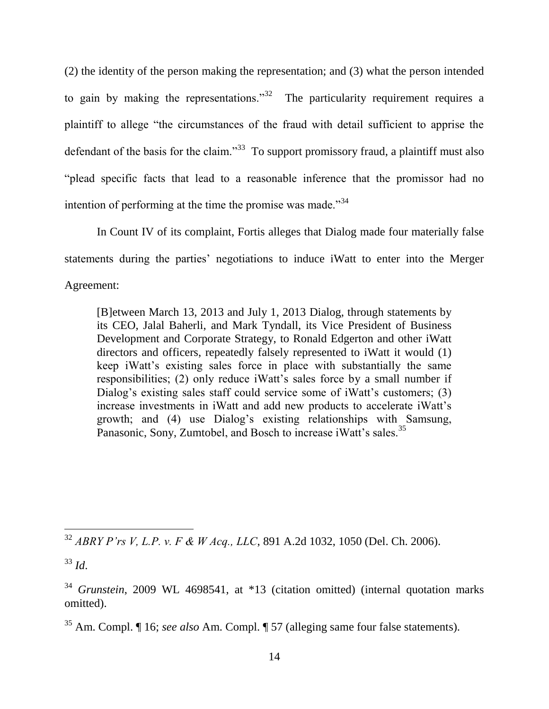(2) the identity of the person making the representation; and (3) what the person intended to gain by making the representations.<sup>33</sup> The particularity requirement requires a plaintiff to allege "the circumstances of the fraud with detail sufficient to apprise the defendant of the basis for the claim."<sup>33</sup> To support promissory fraud, a plaintiff must also "plead specific facts that lead to a reasonable inference that the promissor had no intention of performing at the time the promise was made."<sup>34</sup>

In Count IV of its complaint, Fortis alleges that Dialog made four materially false statements during the parties" negotiations to induce iWatt to enter into the Merger

Agreement:

[B]etween March 13, 2013 and July 1, 2013 Dialog, through statements by its CEO, Jalal Baherli, and Mark Tyndall, its Vice President of Business Development and Corporate Strategy, to Ronald Edgerton and other iWatt directors and officers, repeatedly falsely represented to iWatt it would (1) keep iWatt"s existing sales force in place with substantially the same responsibilities; (2) only reduce iWatt"s sales force by a small number if Dialog's existing sales staff could service some of iWatt's customers; (3) increase investments in iWatt and add new products to accelerate iWatt"s growth; and (4) use Dialog"s existing relationships with Samsung, Panasonic, Sony, Zumtobel, and Bosch to increase iWatt's sales.<sup>35</sup>

<sup>32</sup> *ABRY P'rs V, L.P. v. F & W Acq., LLC*, 891 A.2d 1032, 1050 (Del. Ch. 2006).

<sup>33</sup> *Id*.

<sup>&</sup>lt;sup>34</sup> *Grunstein*, 2009 WL 4698541, at \*13 (citation omitted) (internal quotation marks omitted).

<sup>35</sup> Am. Compl. ¶ 16; *see also* Am. Compl. ¶ 57 (alleging same four false statements).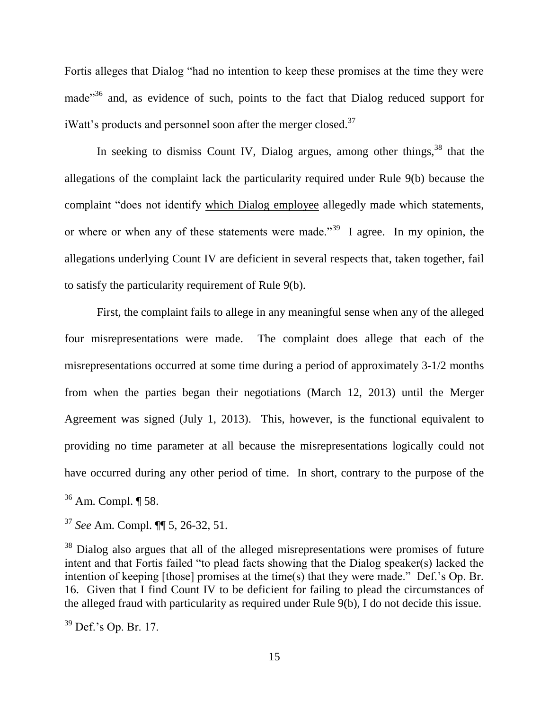Fortis alleges that Dialog "had no intention to keep these promises at the time they were made"<sup>36</sup> and, as evidence of such, points to the fact that Dialog reduced support for iWatt's products and personnel soon after the merger closed.<sup>37</sup>

In seeking to dismiss Count IV, Dialog argues, among other things,<sup>38</sup> that the allegations of the complaint lack the particularity required under Rule 9(b) because the complaint "does not identify which Dialog employee allegedly made which statements, or where or when any of these statements were made.<sup> $39$ </sup> I agree. In my opinion, the allegations underlying Count IV are deficient in several respects that, taken together, fail to satisfy the particularity requirement of Rule 9(b).

First, the complaint fails to allege in any meaningful sense when any of the alleged four misrepresentations were made. The complaint does allege that each of the misrepresentations occurred at some time during a period of approximately 3-1/2 months from when the parties began their negotiations (March 12, 2013) until the Merger Agreement was signed (July 1, 2013). This, however, is the functional equivalent to providing no time parameter at all because the misrepresentations logically could not have occurred during any other period of time. In short, contrary to the purpose of the

 $36$  Am. Compl.  $\P$  58.

<sup>37</sup> *See* Am. Compl. ¶¶ 5, 26-32, 51.

<sup>&</sup>lt;sup>38</sup> Dialog also argues that all of the alleged misrepresentations were promises of future intent and that Fortis failed "to plead facts showing that the Dialog speaker(s) lacked the intention of keeping [those] promises at the time(s) that they were made." Def."s Op. Br. 16. Given that I find Count IV to be deficient for failing to plead the circumstances of the alleged fraud with particularity as required under Rule 9(b), I do not decide this issue.

 $39$  Def.'s Op. Br. 17.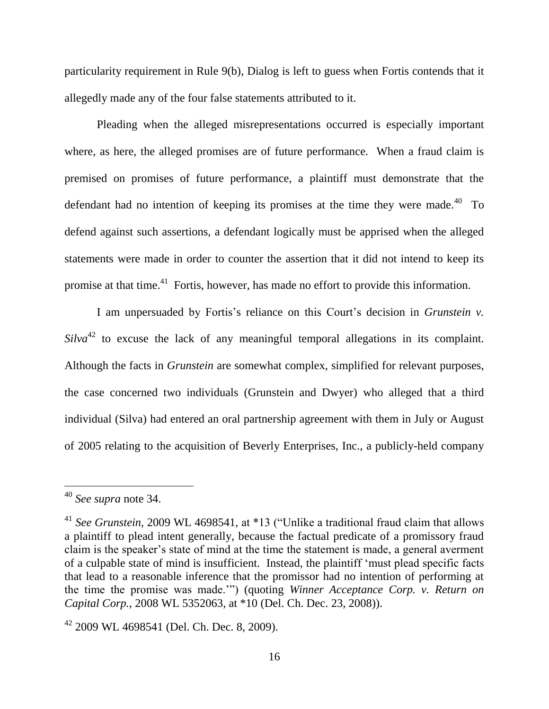particularity requirement in Rule 9(b), Dialog is left to guess when Fortis contends that it allegedly made any of the four false statements attributed to it.

Pleading when the alleged misrepresentations occurred is especially important where, as here, the alleged promises are of future performance. When a fraud claim is premised on promises of future performance, a plaintiff must demonstrate that the defendant had no intention of keeping its promises at the time they were made. $^{40}$  To defend against such assertions, a defendant logically must be apprised when the alleged statements were made in order to counter the assertion that it did not intend to keep its promise at that time.<sup>41</sup> Fortis, however, has made no effort to provide this information.

I am unpersuaded by Fortis's reliance on this Court's decision in *Grunstein v*. *Silva*<sup>42</sup> to excuse the lack of any meaningful temporal allegations in its complaint*.* Although the facts in *Grunstein* are somewhat complex, simplified for relevant purposes, the case concerned two individuals (Grunstein and Dwyer) who alleged that a third individual (Silva) had entered an oral partnership agreement with them in July or August of 2005 relating to the acquisition of Beverly Enterprises, Inc., a publicly-held company

<sup>40</sup> *See supra* note 34.

<sup>41</sup> *See Grunstein*, 2009 WL 4698541, at \*13 ("Unlike a traditional fraud claim that allows a plaintiff to plead intent generally, because the factual predicate of a promissory fraud claim is the speaker"s state of mind at the time the statement is made, a general averment of a culpable state of mind is insufficient. Instead, the plaintiff "must plead specific facts that lead to a reasonable inference that the promissor had no intention of performing at the time the promise was made."") (quoting *Winner Acceptance Corp. v. Return on Capital Corp.*, 2008 WL 5352063, at \*10 (Del. Ch. Dec. 23, 2008)).

 $42$  2009 WL 4698541 (Del. Ch. Dec. 8, 2009).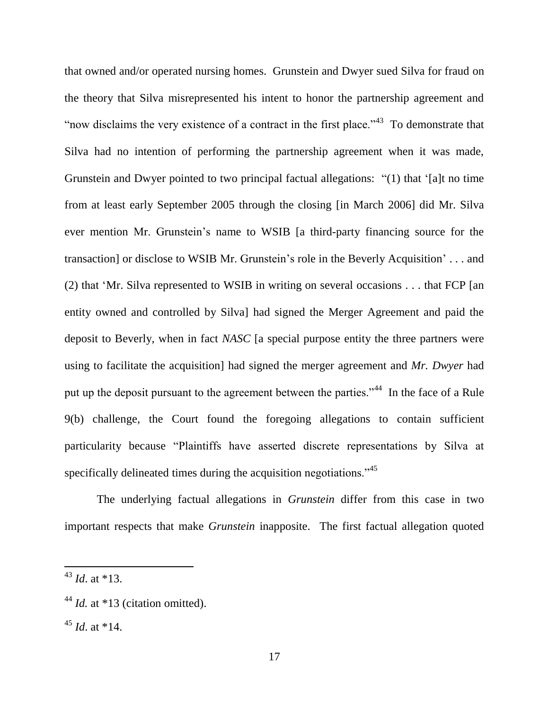that owned and/or operated nursing homes. Grunstein and Dwyer sued Silva for fraud on the theory that Silva misrepresented his intent to honor the partnership agreement and "now disclaims the very existence of a contract in the first place."<sup> $43$ </sup> To demonstrate that Silva had no intention of performing the partnership agreement when it was made, Grunstein and Dwyer pointed to two principal factual allegations: "(1) that "[a]t no time from at least early September 2005 through the closing [in March 2006] did Mr. Silva ever mention Mr. Grunstein"s name to WSIB [a third-party financing source for the transaction] or disclose to WSIB Mr. Grunstein"s role in the Beverly Acquisition" . . . and (2) that "Mr. Silva represented to WSIB in writing on several occasions . . . that FCP [an entity owned and controlled by Silva] had signed the Merger Agreement and paid the deposit to Beverly, when in fact *NASC* [a special purpose entity the three partners were using to facilitate the acquisition] had signed the merger agreement and *Mr. Dwyer* had put up the deposit pursuant to the agreement between the parties."<sup>44</sup> In the face of a Rule 9(b) challenge, the Court found the foregoing allegations to contain sufficient particularity because "Plaintiffs have asserted discrete representations by Silva at specifically delineated times during the acquisition negotiations.<sup>345</sup>

The underlying factual allegations in *Grunstein* differ from this case in two important respects that make *Grunstein* inapposite. The first factual allegation quoted

<sup>43</sup> *Id*. at \*13.

<sup>&</sup>lt;sup>44</sup> *Id.* at \*13 (citation omitted).

 $45$  *Id.* at  $*14$ .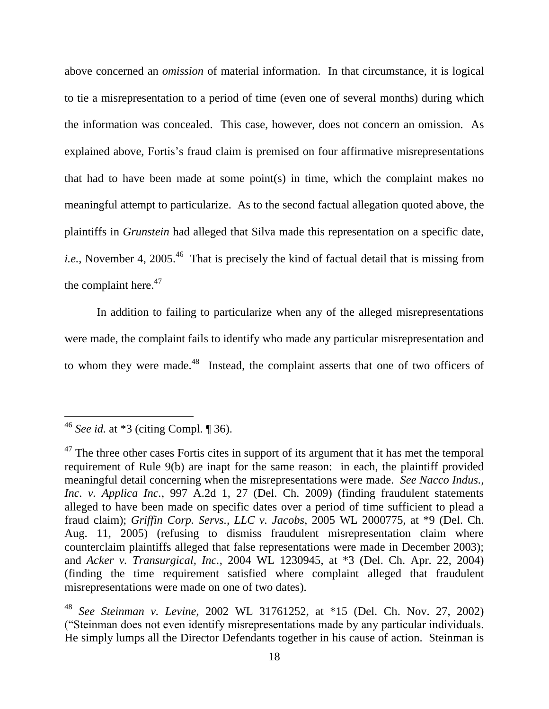above concerned an *omission* of material information. In that circumstance, it is logical to tie a misrepresentation to a period of time (even one of several months) during which the information was concealed. This case, however, does not concern an omission. As explained above, Fortis's fraud claim is premised on four affirmative misrepresentations that had to have been made at some point(s) in time, which the complaint makes no meaningful attempt to particularize. As to the second factual allegation quoted above, the plaintiffs in *Grunstein* had alleged that Silva made this representation on a specific date, *i.e.*, November 4, 2005.<sup>46</sup> That is precisely the kind of factual detail that is missing from the complaint here. $47$ 

In addition to failing to particularize when any of the alleged misrepresentations were made, the complaint fails to identify who made any particular misrepresentation and to whom they were made.<sup>48</sup> Instead, the complaint asserts that one of two officers of

<sup>46</sup> *See id.* at \*3 (citing Compl. ¶ 36).

 $47$  The three other cases Fortis cites in support of its argument that it has met the temporal requirement of Rule 9(b) are inapt for the same reason: in each, the plaintiff provided meaningful detail concerning when the misrepresentations were made. *See Nacco Indus., Inc. v. Applica Inc.*, 997 A.2d 1, 27 (Del. Ch. 2009) (finding fraudulent statements alleged to have been made on specific dates over a period of time sufficient to plead a fraud claim); *Griffin Corp. Servs., LLC v. Jacobs*, 2005 WL 2000775, at \*9 (Del. Ch. Aug. 11, 2005) (refusing to dismiss fraudulent misrepresentation claim where counterclaim plaintiffs alleged that false representations were made in December 2003); and *Acker v. Transurgical, Inc.*, 2004 WL 1230945, at \*3 (Del. Ch. Apr. 22, 2004) (finding the time requirement satisfied where complaint alleged that fraudulent misrepresentations were made on one of two dates).

<sup>48</sup> *See Steinman v. Levine*, 2002 WL 31761252, at \*15 (Del. Ch. Nov. 27, 2002) ("Steinman does not even identify misrepresentations made by any particular individuals. He simply lumps all the Director Defendants together in his cause of action. Steinman is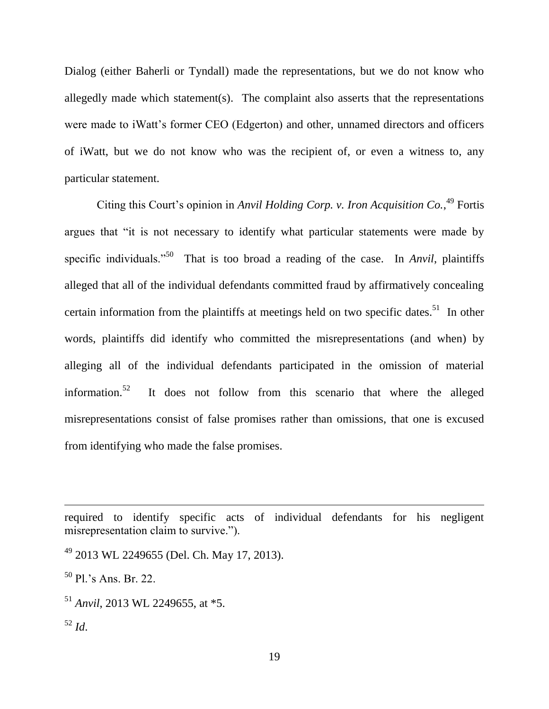Dialog (either Baherli or Tyndall) made the representations, but we do not know who allegedly made which statement(s). The complaint also asserts that the representations were made to iWatt's former CEO (Edgerton) and other, unnamed directors and officers of iWatt, but we do not know who was the recipient of, or even a witness to, any particular statement.

Citing this Court's opinion in *Anvil Holding Corp. v. Iron Acquisition Co.*<sup>49</sup> Fortis argues that "it is not necessary to identify what particular statements were made by specific individuals."<sup>50</sup> That is too broad a reading of the case. In *Anvil*, plaintiffs alleged that all of the individual defendants committed fraud by affirmatively concealing certain information from the plaintiffs at meetings held on two specific dates.<sup>51</sup> In other words, plaintiffs did identify who committed the misrepresentations (and when) by alleging all of the individual defendants participated in the omission of material information.<sup>52</sup> It does not follow from this scenario that where the alleged misrepresentations consist of false promises rather than omissions, that one is excused from identifying who made the false promises.

required to identify specific acts of individual defendants for his negligent misrepresentation claim to survive.").

<sup>49</sup> 2013 WL 2249655 (Del. Ch. May 17, 2013).

 $50$  Pl.'s Ans. Br. 22.

<sup>51</sup> *Anvil*, 2013 WL 2249655, at \*5.

<sup>52</sup> *Id*.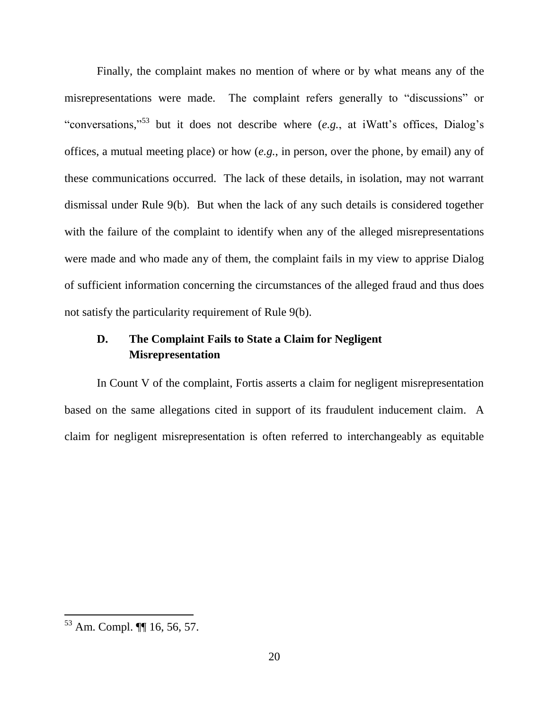Finally, the complaint makes no mention of where or by what means any of the misrepresentations were made. The complaint refers generally to "discussions" or "conversations,"<sup>53</sup> but it does not describe where  $(e.g.,$  at iWatt's offices, Dialog's offices, a mutual meeting place) or how (*e.g.*, in person, over the phone, by email) any of these communications occurred. The lack of these details, in isolation, may not warrant dismissal under Rule 9(b). But when the lack of any such details is considered together with the failure of the complaint to identify when any of the alleged misrepresentations were made and who made any of them, the complaint fails in my view to apprise Dialog of sufficient information concerning the circumstances of the alleged fraud and thus does not satisfy the particularity requirement of Rule 9(b).

# **D. The Complaint Fails to State a Claim for Negligent Misrepresentation**

In Count V of the complaint, Fortis asserts a claim for negligent misrepresentation based on the same allegations cited in support of its fraudulent inducement claim. A claim for negligent misrepresentation is often referred to interchangeably as equitable

<sup>53</sup> Am. Compl. ¶¶ 16, 56, 57.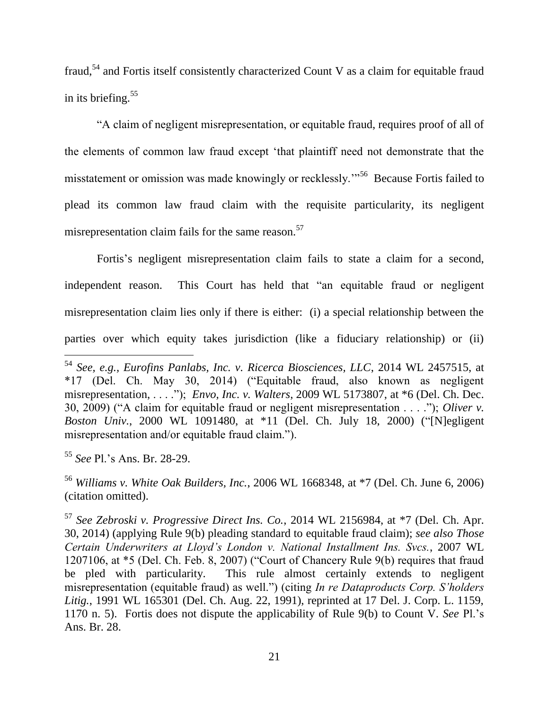fraud,<sup>54</sup> and Fortis itself consistently characterized Count V as a claim for equitable fraud in its briefing. $55$ 

"A claim of negligent misrepresentation, or equitable fraud, requires proof of all of the elements of common law fraud except "that plaintiff need not demonstrate that the misstatement or omission was made knowingly or recklessly."<sup>56</sup> Because Fortis failed to plead its common law fraud claim with the requisite particularity, its negligent misrepresentation claim fails for the same reason.<sup>57</sup>

Fortis's negligent misrepresentation claim fails to state a claim for a second, independent reason. This Court has held that "an equitable fraud or negligent misrepresentation claim lies only if there is either: (i) a special relationship between the parties over which equity takes jurisdiction (like a fiduciary relationship) or (ii)

<sup>54</sup> *See, e.g., Eurofins Panlabs, Inc. v. Ricerca Biosciences, LLC*, 2014 WL 2457515, at \*17 (Del. Ch. May 30, 2014) ("Equitable fraud, also known as negligent misrepresentation, . . . ."); *Envo, Inc. v. Walters*, 2009 WL 5173807, at \*6 (Del. Ch. Dec. 30, 2009) ("A claim for equitable fraud or negligent misrepresentation . . . ."); *Oliver v. Boston Univ.*, 2000 WL 1091480, at \*11 (Del. Ch. July 18, 2000) ("[N]egligent misrepresentation and/or equitable fraud claim.").

<sup>55</sup> *See* Pl."s Ans. Br. 28-29.

<sup>56</sup> *Williams v. White Oak Builders, Inc.*, 2006 WL 1668348, at \*7 (Del. Ch. June 6, 2006) (citation omitted).

<sup>57</sup> *See Zebroski v. Progressive Direct Ins. Co.*, 2014 WL 2156984, at \*7 (Del. Ch. Apr. 30, 2014) (applying Rule 9(b) pleading standard to equitable fraud claim); *see also Those Certain Underwriters at Lloyd's London v. National Installment Ins. Svcs.*, 2007 WL 1207106, at \*5 (Del. Ch. Feb. 8, 2007) ("Court of Chancery Rule 9(b) requires that fraud be pled with particularity. This rule almost certainly extends to negligent misrepresentation (equitable fraud) as well.") (citing *In re Dataproducts Corp. S'holders Litig.*, 1991 WL 165301 (Del. Ch. Aug. 22, 1991), reprinted at 17 Del. J. Corp. L. 1159, 1170 n. 5). Fortis does not dispute the applicability of Rule 9(b) to Count V. *See* Pl."s Ans. Br. 28.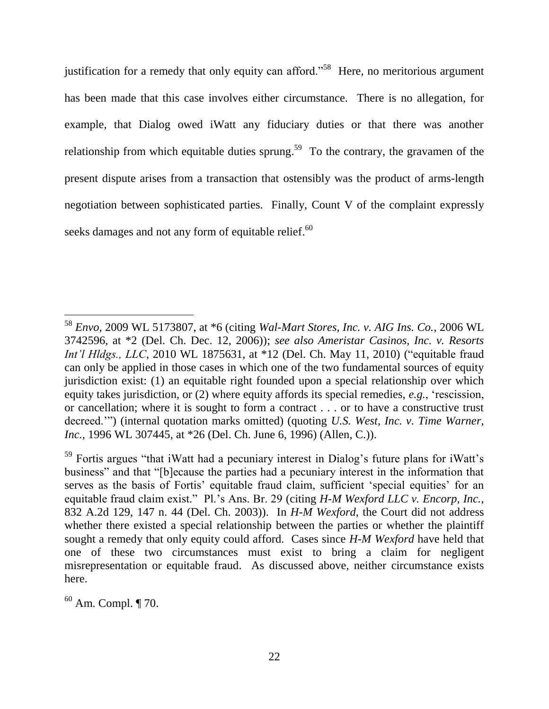justification for a remedy that only equity can afford."<sup>58</sup> Here, no meritorious argument has been made that this case involves either circumstance. There is no allegation, for example, that Dialog owed iWatt any fiduciary duties or that there was another relationship from which equitable duties sprung.<sup>59</sup> To the contrary, the gravamen of the present dispute arises from a transaction that ostensibly was the product of arms-length negotiation between sophisticated parties. Finally, Count V of the complaint expressly seeks damages and not any form of equitable relief.<sup>60</sup>

<sup>58</sup> *Envo*, 2009 WL 5173807, at \*6 (citing *Wal-Mart Stores, Inc. v. AIG Ins. Co.*, 2006 WL 3742596, at \*2 (Del. Ch. Dec. 12, 2006)); *see also Ameristar Casinos, Inc. v. Resorts Int'l Hldgs., LLC*, 2010 WL 1875631, at \*12 (Del. Ch. May 11, 2010) ("equitable fraud can only be applied in those cases in which one of the two fundamental sources of equity jurisdiction exist: (1) an equitable right founded upon a special relationship over which equity takes jurisdiction, or (2) where equity affords its special remedies, *e.g.*, "rescission, or cancellation; where it is sought to form a contract . . . or to have a constructive trust decreed."") (internal quotation marks omitted) (quoting *U.S. West, Inc. v. Time Warner, Inc.,* 1996 WL 307445, at \*26 (Del. Ch. June 6, 1996) (Allen, C.)).

<sup>&</sup>lt;sup>59</sup> Fortis argues "that iWatt had a pecuniary interest in Dialog's future plans for iWatt's business" and that "[b]ecause the parties had a pecuniary interest in the information that serves as the basis of Fortis' equitable fraud claim, sufficient 'special equities' for an equitable fraud claim exist." Pl."s Ans. Br. 29 (citing *H-M Wexford LLC v. Encorp, Inc.*, 832 A.2d 129, 147 n. 44 (Del. Ch. 2003)). In *H-M Wexford*, the Court did not address whether there existed a special relationship between the parties or whether the plaintiff sought a remedy that only equity could afford. Cases since *H-M Wexford* have held that one of these two circumstances must exist to bring a claim for negligent misrepresentation or equitable fraud. As discussed above, neither circumstance exists here.

 $60$  Am. Compl. ¶ 70.